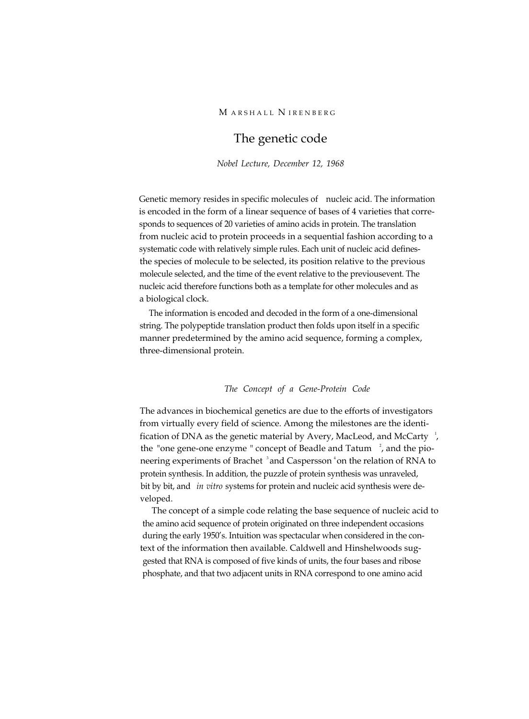# The genetic code

*Nobel Lecture, December 12, 1968*

Genetic memory resides in specific molecules of nucleic acid. The information is encoded in the form of a linear sequence of bases of 4 varieties that corresponds to sequences of 20 varieties of amino acids in protein. The translation from nucleic acid to protein proceeds in a sequential fashion according to a systematic code with relatively simple rules. Each unit of nucleic acid definesthe species of molecule to be selected, its position relative to the previous molecule selected, and the time of the event relative to the previousevent. The nucleic acid therefore functions both as a template for other molecules and as a biological clock.

The information is encoded and decoded in the form of a one-dimensional string. The polypeptide translation product then folds upon itself in a specific manner predetermined by the amino acid sequence, forming a complex, three-dimensional protein.

## *The Concept of a Gene-Protein Code*

The advances in biochemical genetics are due to the efforts of investigators from virtually every field of science. Among the milestones are the identification of DNA as the genetic material by Avery, MacLeod, and McCarty  $\frac{1}{2}$ , the "one gene-one enzyme " concept of Beadle and Tatum  $\rightarrow$ , and the pioneering experiments of Brachet <sup>3</sup> and Caspersson <sup>4</sup> on the relation of RNA to protein synthesis. In addition, the puzzle of protein synthesis was unraveled, bit by bit, and *in vitro* systems for protein and nucleic acid synthesis were developed.

The concept of a simple code relating the base sequence of nucleic acid to the amino acid sequence of protein originated on three independent occasions during the early 1950's. Intuition was spectacular when considered in the context of the information then available. Caldwell and Hinshelwoods suggested that RNA is composed of five kinds of units, the four bases and ribose phosphate, and that two adjacent units in RNA correspond to one amino acid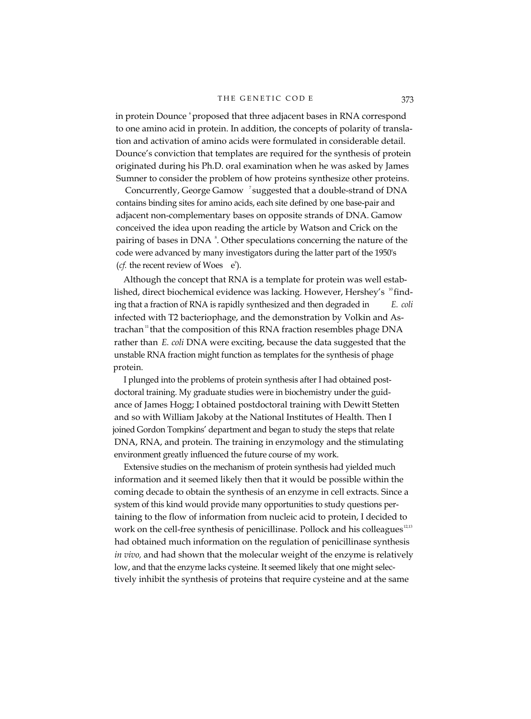in protein Dounce <sup>6</sup> proposed that three adjacent bases in RNA correspond to one amino acid in protein. In addition, the concepts of polarity of translation and activation of amino acids were formulated in considerable detail. Dounce's conviction that templates are required for the synthesis of protein originated during his Ph.D. oral examination when he was asked by James Sumner to consider the problem of how proteins synthesize other proteins.

Concurrently, George Gamow <sup>7</sup> suggested that a double-strand of DNA contains binding sites for amino acids, each site defined by one base-pair and adjacent non-complementary bases on opposite strands of DNA. Gamow conceived the idea upon reading the article by Watson and Crick on the pairing of bases in DNA<sup>8</sup>. Other speculations concerning the nature of the code were advanced by many investigators during the latter part of the 1950's (*cf.* the recent review of Woes  $e^{\theta}$ ).

Although the concept that RNA is a template for protein was well established, direct biochemical evidence was lacking. However, Hershey's  $\mathrm{^{10}$  finding that a fraction of RNA is rapidly synthesized and then degraded in *E. coli* infected with T2 bacteriophage, and the demonstration by Volkin and Astrachan<sup>11</sup> that the composition of this RNA fraction resembles phage DNA rather than *E. coli* DNA were exciting, because the data suggested that the unstable RNA fraction might function as templates for the synthesis of phage protein.

I plunged into the problems of protein synthesis after I had obtained postdoctoral training. My graduate studies were in biochemistry under the guidance of James Hogg; I obtained postdoctoral training with Dewitt Stetten and so with William Jakoby at the National Institutes of Health. Then I joined Gordon Tompkins' department and began to study the steps that relate DNA, RNA, and protein. The training in enzymology and the stimulating environment greatly influenced the future course of my work.

Extensive studies on the mechanism of protein synthesis had yielded much information and it seemed likely then that it would be possible within the coming decade to obtain the synthesis of an enzyme in cell extracts. Since a system of this kind would provide many opportunities to study questions pertaining to the flow of information from nucleic acid to protein, I decided to work on the cell-free synthesis of penicillinase. Pollock and his colleagues<sup>12,13</sup> had obtained much information on the regulation of penicillinase synthesis *in vivo,* and had shown that the molecular weight of the enzyme is relatively low, and that the enzyme lacks cysteine. It seemed likely that one might selectively inhibit the synthesis of proteins that require cysteine and at the same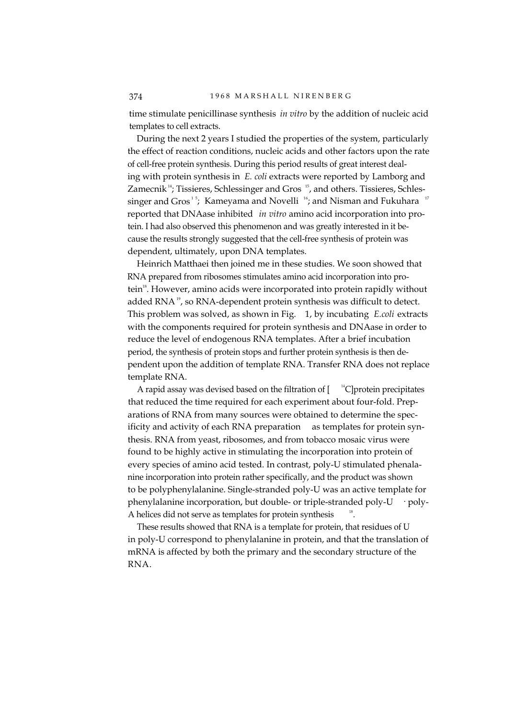time stimulate penicillinase synthesis *in vitro* by the addition of nucleic acid templates to cell extracts.

During the next 2 years I studied the properties of the system, particularly the effect of reaction conditions, nucleic acids and other factors upon the rate of cell-free protein synthesis. During this period results of great interest dealing with protein synthesis in *E. coli* extracts were reported by Lamborg and Zamecnik<sup>14</sup>; Tissieres, Schlessinger and Gros  $15$ , and others. Tissieres, Schlessinger and Gros<sup>15</sup>; Kameyama and Novelli<sup>16</sup>; and Nisman and Fukuhara<sup>17</sup> reported that DNAase inhibited *in vitro* amino acid incorporation into protein. I had also observed this phenomenon and was greatly interested in it because the results strongly suggested that the cell-free synthesis of protein was dependent, ultimately, upon DNA templates.

Heinrich Matthaei then joined me in these studies. We soon showed that RNA prepared from ribosomes stimulates amino acid incorporation into protein<sup>18</sup>. However, amino acids were incorporated into protein rapidly without added RNA<sup>19</sup>, so RNA-dependent protein synthesis was difficult to detect. This problem was solved, as shown in Fig. 1, by incubating *E.coli* extracts with the components required for protein synthesis and DNAase in order to reduce the level of endogenous RNA templates. After a brief incubation period, the synthesis of protein stops and further protein synthesis is then dependent upon the addition of template RNA. Transfer RNA does not replace template RNA.

A rapid assay was devised based on the filtration of  $\int_0^{14}$ C | protein precipitates that reduced the time required for each experiment about four-fold. Preparations of RNA from many sources were obtained to determine the specificity and activity of each RNA preparation as templates for protein synthesis. RNA from yeast, ribosomes, and from tobacco mosaic virus were found to be highly active in stimulating the incorporation into protein of every species of amino acid tested. In contrast, poly-U stimulated phenalanine incorporation into protein rather specifically, and the product was shown to be polyphenylalanine. Single-stranded poly-U was an active template for phenylalanine incorporation, but double- or triple-stranded poly-U · poly-A helices did not serve as templates for protein synthesis .

These results showed that RNA is a template for protein, that residues of U in poly-U correspond to phenylalanine in protein, and that the translation of mRNA is affected by both the primary and the secondary structure of the RNA.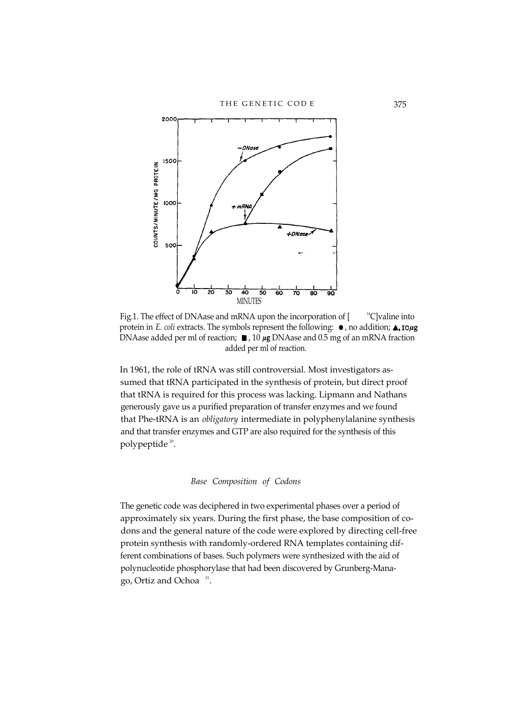

Fig.1. The effect of DNAase and mRNA upon the incorporation of [ <sup>14</sup>C]valine into protein in *E. coli* extracts. The symbols represent the following:  $\bullet$ , no addition;  $\triangle$ , 10µg DNAase added per ml of reaction;  $\blacksquare$ , 10  $\mu$ g DNAase and 0.5 mg of an mRNA fraction added per ml of reaction.

In 1961, the role of tRNA was still controversial. Most investigators assumed that tRNA participated in the synthesis of protein, but direct proof that tRNA is required for this process was lacking. Lipmann and Nathans generously gave us a purified preparation of transfer enzymes and we found that Phe-tRNA is an *obligatory* intermediate in polyphenylalanine synthesis and that transfer enzymes and GTP are also required for the synthesis of this polypeptide<sup>20</sup>.

## *Base Composition of Codons*

The genetic code was deciphered in two experimental phases over a period of approximately six years. During the first phase, the base composition of codons and the general nature of the code were explored by directing cell-free protein synthesis with randomly-ordered RNA templates containing different combinations of bases. Such polymers were synthesized with the aid of polynucleotide phosphorylase that had been discovered by Grunberg-Manago, Ortiz and Ochoa $21$ .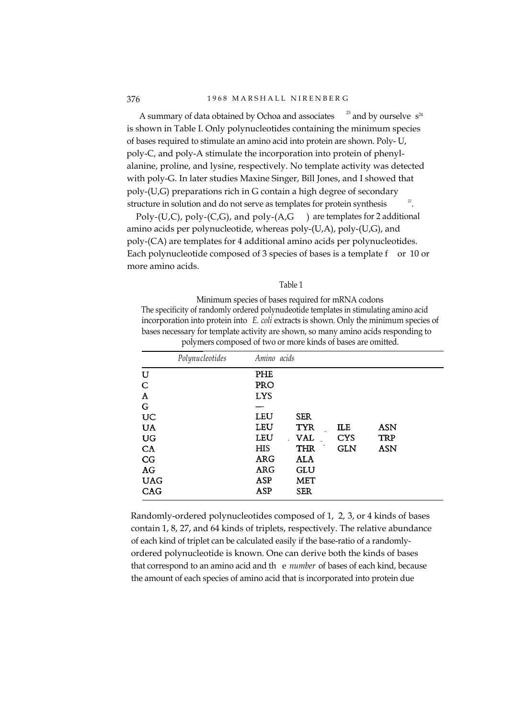A summary of data obtained by Ochoa and associates  $23$  and by ourselve  $s^{24}$ is shown in Table I. Only polynucleotides containing the minimum species of bases required to stimulate an amino acid into protein are shown. Poly- U, poly-C, and poly-A stimulate the incorporation into protein of phenylalanine, proline, and lysine, respectively. No template activity was detected with poly-G. In later studies Maxine Singer, Bill Jones, and I showed that poly-(U,G) preparations rich in G contain a high degree of secondary structure in solution and do not serve as templates for protein synthesis .

Poly-(U,C), poly-(C,G), and poly-(A,G ) are templates for 2 additional amino acids per polynucleotide, whereas poly-(U,A), poly-(U,G), and poly-(CA) are templates for 4 additional amino acids per polynucleotides. Each polynucleotide composed of 3 species of bases is a template f or 10 or more amino acids.

#### Table 1

Minimum species of bases required for mRNA codons The specificity of randomly ordered polynudeotide templates in stimulating amino acid incorporation into protein into *E. coli* extracts is shown. Only the minimum species of bases necessary for template activity are shown, so many amino acids responding to polymers composed of two or more kinds of bases are omitted.

|            | Polynucleotides | Amino acids |            |            |            |  |
|------------|-----------------|-------------|------------|------------|------------|--|
| U          |                 | PHE         |            |            |            |  |
| C          |                 | PRO         |            |            |            |  |
| Α          |                 | <b>LYS</b>  |            |            |            |  |
| G          |                 | —           |            |            |            |  |
| UC         |                 | LEU         | <b>SER</b> |            |            |  |
| <b>UA</b>  |                 | LEU         | <b>TYR</b> | ILE        | <b>ASN</b> |  |
| UG         |                 | LEU         | <b>VAL</b> | <b>CYS</b> | <b>TRP</b> |  |
| CA         |                 | HIS         | <b>THR</b> | <b>GLN</b> | <b>ASN</b> |  |
| CG         |                 | <b>ARG</b>  | ALA        |            |            |  |
| AG         |                 | <b>ARG</b>  | GLU        |            |            |  |
| <b>UAG</b> |                 | ASP         | <b>MET</b> |            |            |  |
| CAG        |                 | ASP         | <b>SER</b> |            |            |  |

Randomly-ordered polynucleotides composed of 1, 2, 3, or 4 kinds of bases contain 1, 8, 27, and 64 kinds of triplets, respectively. The relative abundance of each kind of triplet can be calculated easily if the base-ratio of a randomlyordered polynucleotide is known. One can derive both the kinds of bases that correspond to an amino acid and th e *number* of bases of each kind, because the amount of each species of amino acid that is incorporated into protein due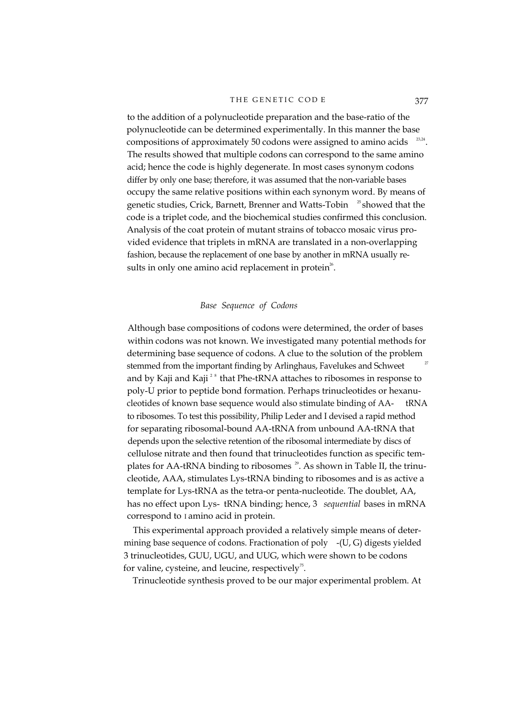to the addition of a polynucleotide preparation and the base-ratio of the polynucleotide can be determined experimentally. In this manner the base compositions of approximately 50 codons were assigned to amino acids  $23.24$ . The results showed that multiple codons can correspond to the same amino acid; hence the code is highly degenerate. In most cases synonym codons differ by only one base; therefore, it was assumed that the non-variable bases occupy the same relative positions within each synonym word. By means of genetic studies, Crick, Barnett, Brenner and Watts-Tobin <sup>25</sup> showed that the code is a triplet code, and the biochemical studies confirmed this conclusion. Analysis of the coat protein of mutant strains of tobacco mosaic virus provided evidence that triplets in mRNA are translated in a non-overlapping fashion, because the replacement of one base by another in mRNA usually results in only one amino acid replacement in protein<sup>26</sup>.

## *Base Sequence of Codons*

Although base compositions of codons were determined, the order of bases within codons was not known. We investigated many potential methods for determining base sequence of codons. A clue to the solution of the problem stemmed from the important finding by Arlinghaus, Favelukes and Schweet and by Kaji and Kaji<sup> $28$ </sup> that Phe-tRNA attaches to ribosomes in response to poly-U prior to peptide bond formation. Perhaps trinucleotides or hexanucleotides of known base sequence would also stimulate binding of AA- tRNA to ribosomes. To test this possibility, Philip Leder and I devised a rapid method for separating ribosomal-bound AA-tRNA from unbound AA-tRNA that depends upon the selective retention of the ribosomal intermediate by discs of cellulose nitrate and then found that trinucleotides function as specific templates for AA-tRNA binding to ribosomes <sup>29</sup>. As shown in Table II, the trinucleotide, AAA, stimulates Lys-tRNA binding to ribosomes and is as active a template for Lys-tRNA as the tetra-or penta-nucleotide. The doublet, AA, has no effect upon Lys- tRNA binding; hence, 3 *sequential* bases in mRNA correspond to I amino acid in protein.

This experimental approach provided a relatively simple means of determining base sequence of codons. Fractionation of poly -(U, G) digests yielded 3 trinucleotides, GUU, UGU, and UUG, which were shown to be codons for valine, cysteine, and leucine, respectively<sup>75</sup>.

Trinucleotide synthesis proved to be our major experimental problem. At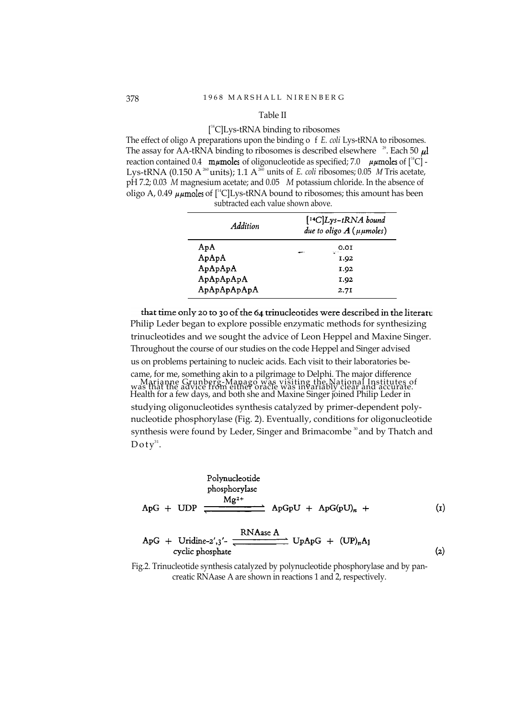#### Table II

#### [ 14C]Lys-tRNA binding to ribosomes

The effect of oligo A preparations upon the binding o f *E. coli* Lys-tRNA to ribosomes. The assay for AA-tRNA binding to ribosomes is described elsewhere <sup>29</sup>. Each 50  $\mu$ l reaction contained 0.4 m $\mu$ moles of oligonucleotide as specified; 7.0  $\mu\mu$ moles of  $[^{14}C]$  -Lys-tRNA (0.150 A<sup>260</sup> units); 1.1 A<sup>260</sup> units of *E. coli ribosomes*; 0.05 *M* Tris acetate, pH 7.2; 0.03 *M* magnesium acetate; and 0.05 *M* potassium chloride. In the absence of oligo A, 0.49  $\mu\mu$  moles of [<sup>14</sup>C]Lys-tRNA bound to ribosomes; this amount has been subtracted each value shown above.

| Addition    | $[$ <sup>14</sup> C $]$ Lys-tRNA bound<br>due to oligo $A(\mu\mu$ moles) |  |  |  |  |
|-------------|--------------------------------------------------------------------------|--|--|--|--|
| ApA         | 0.0I<br>region is                                                        |  |  |  |  |
| ApApA       | I.92                                                                     |  |  |  |  |
| ApApApA     | I.92                                                                     |  |  |  |  |
| ApApApApA   | 1.92                                                                     |  |  |  |  |
| ApApApApApA | 2.7I                                                                     |  |  |  |  |

that time only 20 to 30 of the 64 trinucleotides were described in the literatu Philip Leder began to explore possible enzymatic methods for synthesizing trinucleotides and we sought the advice of Leon Heppel and Maxine Singer. Throughout the course of our studies on the code Heppel and Singer advised us on problems pertaining to nucleic acids. Each visit to their laboratories became, for me, something akin to a pilgrimage to Delphi. The major difference was that the advice from either oracle was invariably clear and accurate. Marianne Grunberg-Manago was visiting the National Institutes of Health for a few days, and both she and Maxine Singer joined Philip Leder in studying oligonucleotides synthesis catalyzed by primer-dependent polynucleotide phosphorylase (Fig. 2). Eventually, conditions for oligonucleotide synthesis were found by Leder, Singer and Brimacombe<sup>30</sup> and by Thatch and  $\mathop{\rm Doh}\nolimits^{31}.$ 

Polynucleotide

\nphosphorylase

\n
$$
Ag^{2+}
$$
\n
$$
Ag^{2+}
$$
\n
$$
ApG + UDP \xrightarrow{RMAase A} ApGpU + ApG(pU)_n + (1)
$$
\n
$$
ApG + Uriaine-2',3'-
$$
\n
$$
Cyclic phosphate
$$
\n
$$
(2)
$$

Fig.2. Trinucleotide synthesis catalyzed by polynucleotide phosphorylase and by pancreatic RNAase A are shown in reactions 1 and 2, respectively.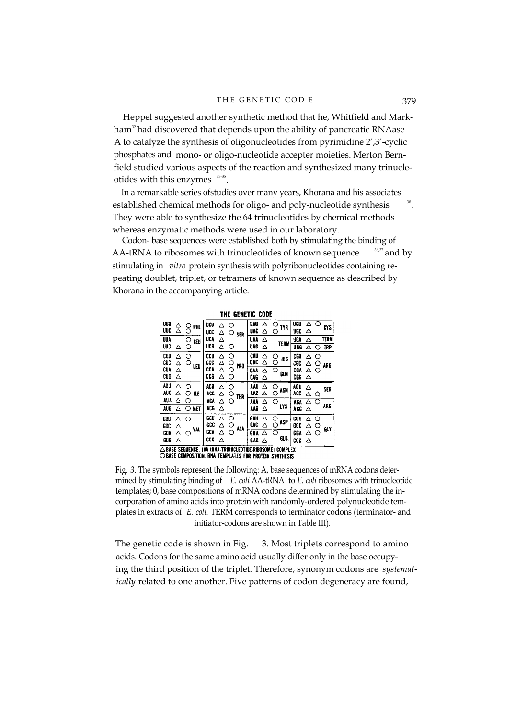Heppel suggested another synthetic method that he, Whitfield and Markham<sup>32</sup> had discovered that depends upon the ability of pancreatic RNAase A to catalyze the synthesis of oligonucleotides from pyrimidine 2',3'-cyclic phosphates and mono- or oligo-nucleotide accepter moieties. Merton Bernfield studied various aspects of the reaction and synthesized many trinucleotides with this enzymes  $33-35$ .

In a remarkable series ofstudies over many years, Khorana and his associates established chemical methods for oligo- and poly-nucleotide synthesis They were able to synthesize the 64 trinucleotides by chemical methods whereas enzymatic methods were used in our laboratory.

Codon- base sequences were established both by stimulating the binding of AA-tRNA to ribosomes with trinucleotides of known sequence  $36,37$  and by stimulating in *vitro* protein synthesis with polyribonucleotides containing repeating doublet, triplet, or tetramers of known sequence as described by Khorana in the accompanying article.

|                   |                                                           |        |     |                   |        |        |             | INE GENEIIL LUUE |        |                      |                   |        |            |            |
|-------------------|-----------------------------------------------------------|--------|-----|-------------------|--------|--------|-------------|------------------|--------|----------------------|-------------------|--------|------------|------------|
| <b>UUU</b><br>uuc | Δ<br>Δ                                                    | 0      | PHE | ucu<br>ucc        | Δ<br>Δ | O      | $\circ$ sex | UAU<br>UAC       | Δ<br>△ | O<br><b>TYR</b><br>O | USU<br><b>UGC</b> | Λ<br>Δ | ∩          | <b>CYS</b> |
| UUA               |                                                           | 0      | LEU | <b>UCA</b>        | Δ      |        |             | <b>UAA</b>       | Δ      | <b>TERM</b>          | 96A               | Δ      |            | TERM       |
| UUG               | Δ                                                         | O      |     | uce               | Δ<br>O |        | UAG         | Δ                |        | UGG                  | Δ                 | ◠      | <b>TRP</b> |            |
| CUU<br>CUC        | Δ<br>Δ                                                    | O<br>O | LEU | CCU<br>ccc        | Δ<br>Δ | О<br>O | <b>PRO</b>  | CAU<br>CAC       | Δ<br>△ | O<br>ЖS<br>O         | CGU<br>œc         | Δ<br>Δ | O<br>О     | ARG        |
| <b>CUA</b><br>CUG | Δ<br>Δ                                                    |        |     | CCA<br>ccg        | Δ<br>Δ | O<br>O |             | CAA<br>CAG       | Δ<br>Δ | ∩<br>GШ              | CGA<br>CGG        | Δ<br>Δ | Ő          |            |
| AUU<br>AUC        | Δ<br>Δ                                                    | ∩<br>O | IίE | ACU<br><b>ACC</b> | Δ<br>́ | Ο<br>O |             | AAU<br>344       | Λ<br>Δ | O<br>ASN<br>◠        | AGU<br>Ye.        | Δ<br>Δ | O          | SER        |
| aua<br>AUG        | Δ<br>Δ                                                    | O<br>O | MET | ACA<br>acg        | Δ<br>Δ | O      | THR         | AM<br>AAG        | Δ<br>Δ | O<br>LYS             | AGA<br>A GG       | Δ<br>Δ |            | ARG        |
| GUU<br>GUC        | Δ<br>Λ                                                    | ∩      | VAL | gCU<br>ecc        | Λ<br>∧ | ◠<br>⌒ | NА          | GAU<br>gac       | Λ<br>Δ | ∩<br><b>ASP</b><br>∩ | cgu<br>66C        | Λ<br>Δ | O<br>റ     | <b>GLY</b> |
| GUA<br><b>GUG</b> | Δ<br>Δ                                                    | ∩      |     | GCA<br>ece        | Δ<br>Λ | ∩      |             | 6AA<br>GAG       | Λ<br>Δ | ∩<br>GU.             | GGA<br>666        | Δ<br>Δ | O          |            |
|                   | △ BASE SEQUENCE. 1AA-tRNA TRINUCLEOTIDE RIBOSOME1 COMPLEX |        |     |                   |        |        |             |                  |        |                      |                   |        |            |            |

THE CENETIC CODE

OBASE COMPOSITION. RNA TEMPLATES FOR PROTEIN SYNTHESIS

Fig. *3.* The symbols represent the following: A, base sequences of mRNA codons determined by stimulating binding of *E. coli* AA-tRNA to *E. coli* ribosomes with trinucleotide templates; 0, base compositions of mRNA codons determined by stimulating the incorporation of amino acids into protein with randomly-ordered polynucleotide templates in extracts of *E. coli.* TERM corresponds to terminator codons (terminator- and initiator-codons are shown in Table III).

The genetic code is shown in Fig. 3. Most triplets correspond to amino acids. Codons for the same amino acid usually differ only in the base occupying the third position of the triplet. Therefore, synonym codons are *systematically* related to one another. Five patterns of codon degeneracy are found,

.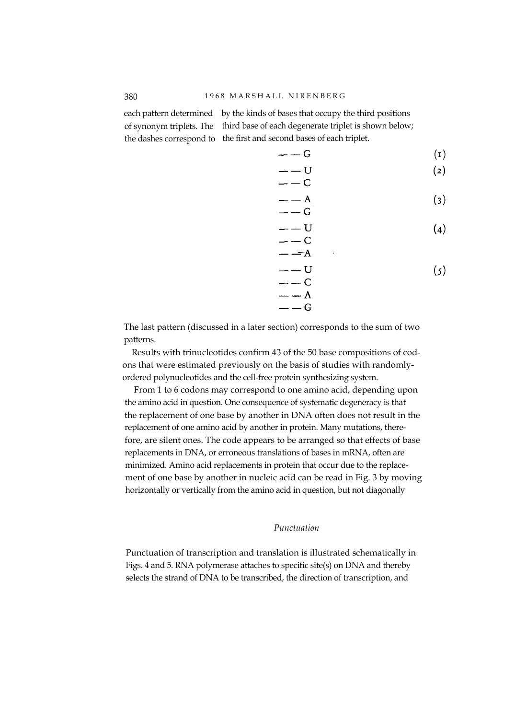each pattern determined by the kinds of bases that occupy the third positions of synonym triplets. The third base of each degenerate triplet is shown below; the dashes correspond to the first and second bases of each triplet.

$$
---G \qquad \qquad (1)
$$

$$
---U
$$

$$
---C
$$

$$
(2)
$$

$$
-- A
$$
 (3)

$$
---U
$$
  

$$
---C
$$
 (4)

$$
--A
$$
  
\n
$$
--U
$$
  
\n
$$
--C
$$
  
\n
$$
--A
$$
  
\n(5)

The last pattern (discussed in a later section) corresponds to the sum of two patterns.

Results with trinucleotides confirm 43 of the 50 base compositions of codons that were estimated previously on the basis of studies with randomlyordered polynucleotides and the cell-free protein synthesizing system.

 $G$ 

From 1 to 6 codons may correspond to one amino acid, depending upon the amino acid in question. One consequence of systematic degeneracy is that the replacement of one base by another in DNA often does not result in the replacement of one amino acid by another in protein. Many mutations, therefore, are silent ones. The code appears to be arranged so that effects of base replacements in DNA, or erroneous translations of bases in mRNA, often are minimized. Amino acid replacements in protein that occur due to the replacement of one base by another in nucleic acid can be read in Fig. 3 by moving horizontally or vertically from the amino acid in question, but not diagonally

# *Punctuation*

Punctuation of transcription and translation is illustrated schematically in Figs. 4 and 5. RNA polymerase attaches to specific site(s) on DNA and thereby selects the strand of DNA to be transcribed, the direction of transcription, and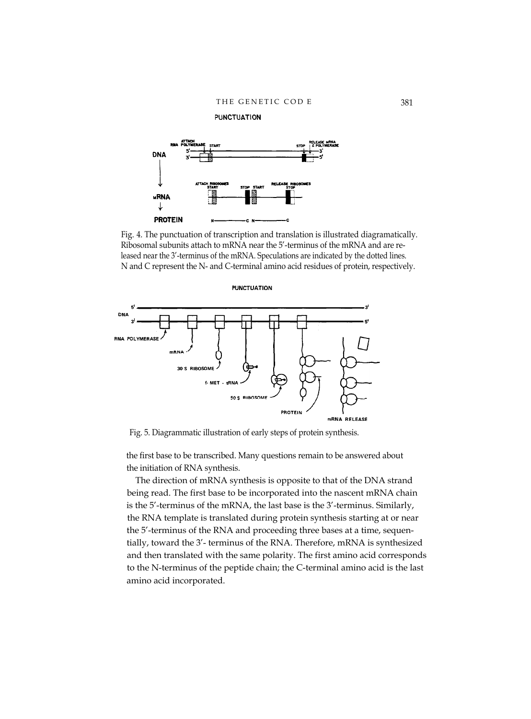**PUNCTUATION** 



Fig. 4. The punctuation of transcription and translation is illustrated diagramatically. Ribosomal subunits attach to mRNA near the 5'-terminus of the mRNA and are released near the 3'-terminus of the mRNA. Speculations are indicated by the dotted lines. N and C represent the N- and C-terminal amino acid residues of protein, respectively.



Fig. 5. Diagrammatic illustration of early steps of protein synthesis.

the first base to be transcribed. Many questions remain to be answered about the initiation of RNA synthesis.

The direction of mRNA synthesis is opposite to that of the DNA strand being read. The first base to be incorporated into the nascent mRNA chain is the 5'-terminus of the mRNA, the last base is the 3'-terminus. Similarly, the RNA template is translated during protein synthesis starting at or near the 5'-terminus of the RNA and proceeding three bases at a time, sequentially, toward the 3'- terminus of the RNA. Therefore, mRNA is synthesized and then translated with the same polarity. The first amino acid corresponds to the N-terminus of the peptide chain; the C-terminal amino acid is the last amino acid incorporated.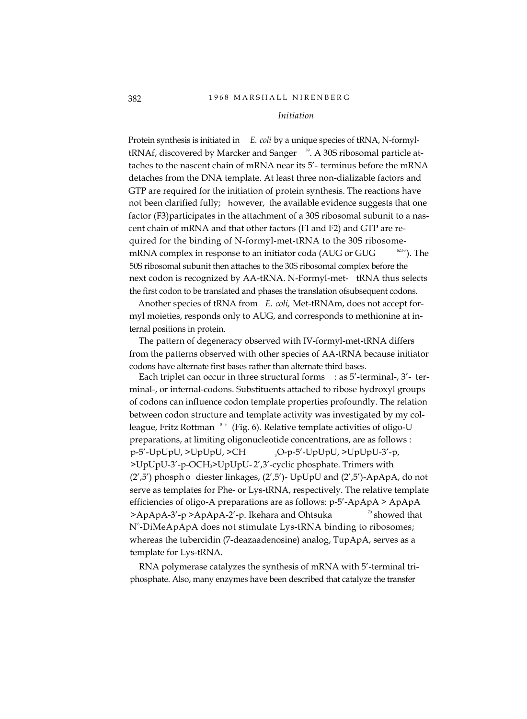## 382 1 9 6 8 M A R S H A L L N I R E N B E R G

## *Initiation*

Protein synthesis is initiated in *E. coli* by a unique species of tRNA, N-formyltRNAf, discovered by Marcker and Sanger <sup>39</sup>. A 30S ribosomal particle attaches to the nascent chain of mRNA near its 5'- terminus before the mRNA detaches from the DNA template. At least three non-dializable factors and GTP are required for the initiation of protein synthesis. The reactions have not been clarified fully; however, the available evidence suggests that one factor (F3)participates in the attachment of a 30S ribosomal subunit to a nascent chain of mRNA and that other factors (FI and F2) and GTP are required for the binding of N-formyl-met-tRNA to the 30S ribosomemRNA complex in response to an initiator coda (AUG or GUG  $\qquad$ <sup>62,63</sup>). The 50S ribosomal subunit then attaches to the 30S ribosomal complex before the next codon is recognized by AA-tRNA. N-Formyl-met- tRNA thus selects the first codon to be translated and phases the translation ofsubsequent codons.

Another species of tRNA from *E. coli,* Met-tRNAm, does not accept formyl moieties, responds only to AUG, and corresponds to methionine at internal positions in protein.

The pattern of degeneracy observed with IV-formyl-met-tRNA differs from the patterns observed with other species of AA-tRNA because initiator codons have alternate first bases rather than alternate third bases.

Each triplet can occur in three structural forms : as 5'-terminal-, 3'- terminal-, or internal-codons. Substituents attached to ribose hydroxyl groups of codons can influence codon template properties profoundly. The relation between codon structure and template activity was investigated by my colleague, Fritz Rottman <sup>83</sup> (Fig. 6). Relative template activities of oligo-U preparations, at limiting oligonucleotide concentrations, are as follows :  $p-5'$ -UpUpU, >UpUpU, >CH  $Q-p-5'$ -UpUpU, >UpUpU-3'-p, >UpUpU-3'-p-OCH3>UpUpU- 2',3'-cyclic phosphate. Trimers with (2',5') phosph o diester linkages, (2',5')- UpUpU and (2',5')-ApApA, do not serve as templates for Phe- or Lys-tRNA, respectively. The relative template efficiencies of oligo-A preparations are as follows: p-5'-ApApA > ApApA  $\geq$ ApApA-3'-p  $\geq$ ApApA-2'-p. Ikehara and Ohtsuka  $\frac{10}{2}$  showed that N°-DiMeApApA does not stimulate Lys-tRNA binding to ribosomes; whereas the tubercidin (7-deazaadenosine) analog, TupApA, serves as a template for Lys-tRNA.

RNA polymerase catalyzes the synthesis of mRNA with 5'-terminal triphosphate. Also, many enzymes have been described that catalyze the transfer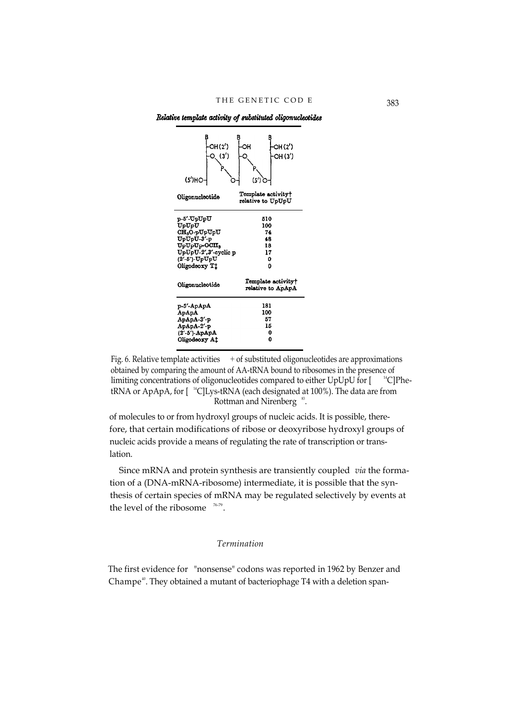Relative template activity of substituted oligonucleotides



Fig. 6. Relative template activities  $+$  of substituted oligonucleotides are approximations obtained by comparing the amount of AA-tRNA bound to ribosomes in the presence of limiting concentrations of oligonucleotides compared to either UpUpU for [ <sup>14</sup>C]PhetRNA or ApApA, for  $[$ <sup>14</sup>C]Lys-tRNA (each designated at 100%). The data are from Rottman and Nirenberg <sup>83</sup>.

of molecules to or from hydroxyl groups of nucleic acids. It is possible, therefore, that certain modifications of ribose or deoxyribose hydroxyl groups of nucleic acids provide a means of regulating the rate of transcription or translation.

Since mRNA and protein synthesis are transiently coupled *via* the formation of a (DNA-mRNA-ribosome) intermediate, it is possible that the synthesis of certain species of mRNA may be regulated selectively by events at the level of the ribosome  $76-79$ .

## *Termination*

The first evidence for "nonsense" codons was reported in 1962 by Benzer and Champe<sup>40</sup>. They obtained a mutant of bacteriophage T4 with a deletion span-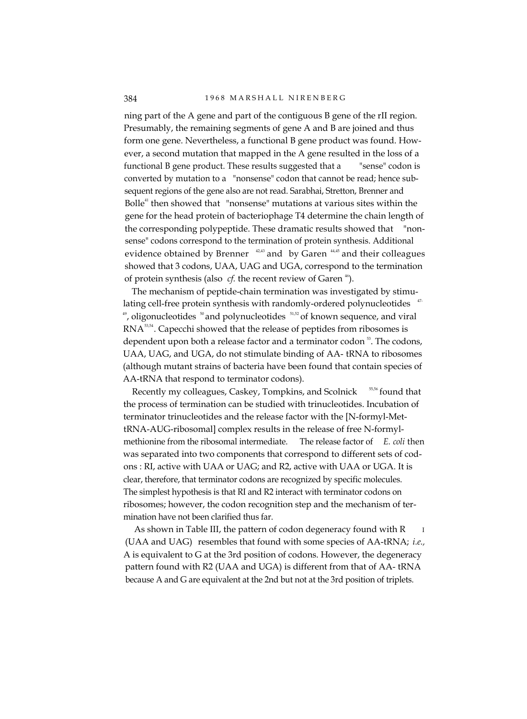ning part of the A gene and part of the contiguous B gene of the rII region. Presumably, the remaining segments of gene A and B are joined and thus form one gene. Nevertheless, a functional B gene product was found. However, a second mutation that mapped in the A gene resulted in the loss of a functional B gene product. These results suggested that a "sense" codon is converted by mutation to a "nonsense" codon that cannot be read; hence subsequent regions of the gene also are not read. Sarabhai, Stretton, Brenner and Bolle $4$ <sup>1</sup> then showed that "nonsense" mutations at various sites within the gene for the head protein of bacteriophage T4 determine the chain length of the corresponding polypeptide. These dramatic results showed that "nonsense" codons correspond to the termination of protein synthesis. Additional evidence obtained by Brenner  $42,43$  and by Garen  $44,45$  and their colleagues showed that 3 codons, UAA, UAG and UGA, correspond to the termination of protein synthesis (also *cf.* the recent review of Garen <sup>46</sup>).

The mechanism of peptide-chain termination was investigated by stimulating cell-free protein synthesis with randomly-ordered polynucleotides <sup>47-</sup>  $^{49}$ , oligonucleotides  $^{50}$  and polynucleotides  $^{51,52}$  of known sequence, and viral RNA<sup>53,54</sup>. Capecchi showed that the release of peptides from ribosomes is dependent upon both a release factor and a terminator codon  $\frac{3}{2}$ . The codons, UAA, UAG, and UGA, do not stimulate binding of AA- tRNA to ribosomes (although mutant strains of bacteria have been found that contain species of AA-tRNA that respond to terminator codons).

Recently my colleagues, Caskey, Tompkins, and Scolnick <sup>55,56</sup> found that the process of termination can be studied with trinucleotides. Incubation of terminator trinucleotides and the release factor with the [N-formyl-MettRNA-AUG-ribosomal] complex results in the release of free N-formylmethionine from the ribosomal intermediate. The release factor of *E. coli* then was separated into two components that correspond to different sets of codons : RI, active with UAA or UAG; and R2, active with UAA or UGA. It is clear, therefore, that terminator codons are recognized by specific molecules. The simplest hypothesis is that RI and R2 interact with terminator codons on ribosomes; however, the codon recognition step and the mechanism of termination have not been clarified thus far.

As shown in Table III, the pattern of codon degeneracy found with R (UAA and UAG) resembles that found with some species of AA-tRNA; *i.e.,* A is equivalent to G at the 3rd position of codons. However, the degeneracy pattern found with R2 (UAA and UGA) is different from that of AA- tRNA because A and G are equivalent at the 2nd but not at the 3rd position of triplets.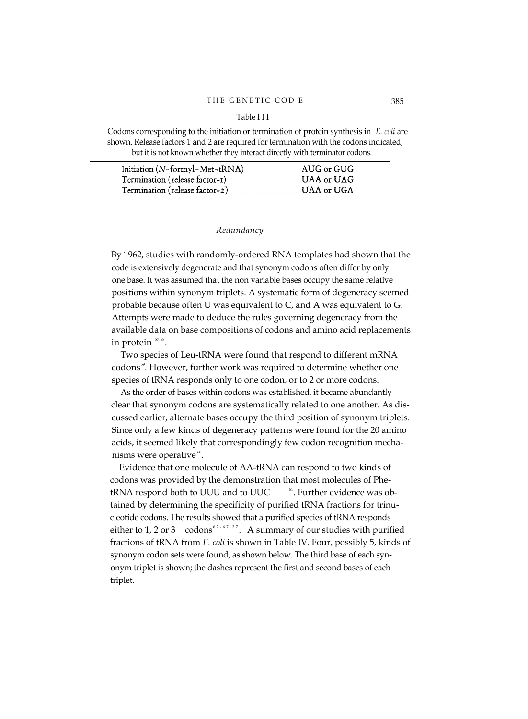#### Table I I I

Codons corresponding to the initiation or termination of protein synthesis in *E. coli* are shown. Release factors 1 and 2 are required for termination with the codons indicated, but it is not known whether they interact directly with terminator codons.

| Initiation (N-formyl-Met-tRNA) | AUG or GUG |
|--------------------------------|------------|
| Termination (release factor-1) | UAA or UAG |
| Termination (release factor-2) | UAA or UGA |

## *Redundancy*

By 1962, studies with randomly-ordered RNA templates had shown that the code is extensively degenerate and that synonym codons often differ by only one base. It was assumed that the non variable bases occupy the same relative positions within synonym triplets. A systematic form of degeneracy seemed probable because often U was equivalent to C, and A was equivalent to G. Attempts were made to deduce the rules governing degeneracy from the available data on base compositions of codons and amino acid replacements in protein  $\mathrm{^{57,58}}.$ 

Two species of Leu-tRNA were found that respond to different mRNA codons<sup>59</sup>. However, further work was required to determine whether one species of tRNA responds only to one codon, or to 2 or more codons.

As the order of bases within codons was established, it became abundantly clear that synonym codons are systematically related to one another. As discussed earlier, alternate bases occupy the third position of synonym triplets. Since only a few kinds of degeneracy patterns were found for the 20 amino acids, it seemed likely that correspondingly few codon recognition mechanisms were operative  $\cdot$ <sup>60</sup>.

Evidence that one molecule of AA-tRNA can respond to two kinds of codons was provided by the demonstration that most molecules of PhetRNA respond both to UUU and to UUC <sup>61</sup>. Further evidence was obtained by determining the specificity of purified tRNA fractions for trinucleotide codons. The results showed that a purified species of tRNA responds either to 1, 2 or 3 codons<sup>62-67,37</sup>. A summary of our studies with purified fractions of tRNA from *E. coli* is shown in Table IV. Four, possibly 5, kinds of synonym codon sets were found, as shown below. The third base of each synonym triplet is shown; the dashes represent the first and second bases of each triplet.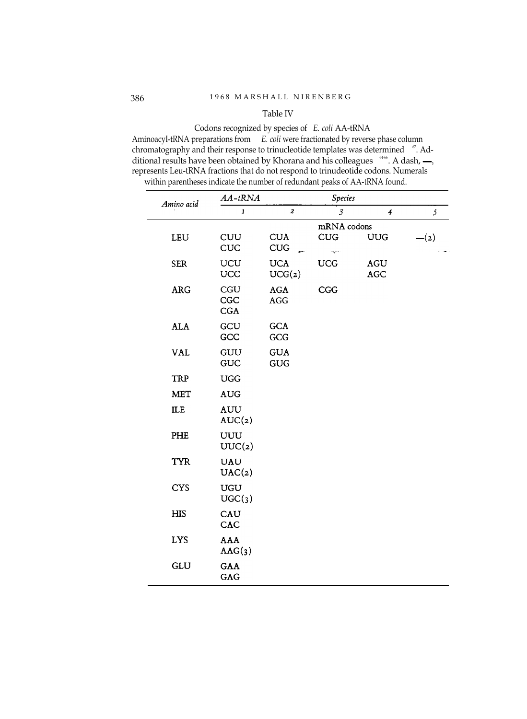# Table IV

Codons recognized by species of *E. coli* AA-tRNA Aminoacyl-tRNA preparations from *E. coli* were fractionated by reverse phase column chromatography and their response to trinucleotide templates was determined <sup>67</sup>. Additional results have been obtained by Khorana and his colleagues  $\frac{6466}{6}$ . A dash, represents Leu-tRNA fractions that do not respond to trinudeotide codons. Numerals within parentheses indicate the number of redundant peaks of AA-tRNA found.

| Amino acid | $AA-tRNA$            |                          | Species                                   |                   |        |
|------------|----------------------|--------------------------|-------------------------------------------|-------------------|--------|
|            | $\pmb{1}$            | $\pmb{2}$                | $\mathfrak{Z}$                            | 4                 | 5      |
|            |                      |                          | mRNA codons                               |                   |        |
| LEU        | CUU<br><b>CUC</b>    | <b>CUA</b><br><b>CUG</b> | <b>CUG</b><br>$\mathbf{A}^{\mathrm{max}}$ | <b>UUG</b>        | $-(2)$ |
| <b>SER</b> | UCU<br>UCC           | <b>UCA</b><br>UCG(z)     | <b>UCG</b>                                | <b>AGU</b><br>AGC |        |
| <b>ARG</b> | CGU<br>CGC<br>CGA    | AGA<br><b>AGG</b>        | CGG                                       |                   |        |
| <b>ALA</b> | GCU<br>GCC           | <b>GCA</b><br>GCG        |                                           |                   |        |
| <b>VAL</b> | GUU<br>GUC           | <b>GUA</b><br>GUG        |                                           |                   |        |
| TRP        | <b>UGG</b>           |                          |                                           |                   |        |
| <b>MET</b> | <b>AUG</b>           |                          |                                           |                   |        |
| ILE        | <b>AUU</b><br>AUC(2) |                          |                                           |                   |        |
| PHE        | UUU<br>UUC(2)        |                          |                                           |                   |        |
| <b>TYR</b> | <b>UAU</b><br>UAC(2) |                          |                                           |                   |        |
| <b>CYS</b> | <b>UGU</b><br>UGC(3) |                          |                                           |                   |        |
| <b>HIS</b> | CAU<br>CAC           |                          |                                           |                   |        |
| <b>LYS</b> | <b>AAA</b><br>AAG(3) |                          |                                           |                   |        |
| GLU        | GAA<br>GAG           |                          |                                           |                   |        |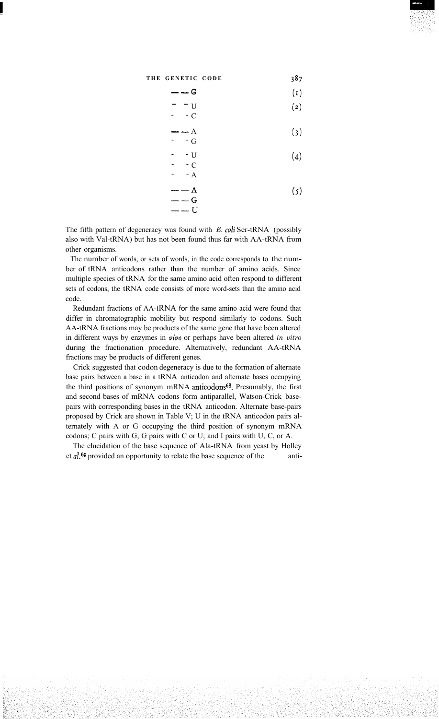$(1)$  $G$ 

$$
-\quad -\quad \text{U}\tag{2}
$$

$$
--- A \t\t(3)
$$

$$
-\frac{1}{2}U
$$
 (4)

$$
\begin{array}{ccc}\n- & -C \\
- & -A\n\end{array}
$$

$$
\begin{array}{l} - -A \\ -G \end{array} \tag{5}
$$

The fifth pattern of degeneracy was found with *E. coli* Ser-tRNA (possibly also with Val-tRNA) but has not been found thus far with AA-tRNA from other organisms.

 $-$  U

The number of words, or sets of words, in the code corresponds to the number of tRNA anticodons rather than the number of amino acids. Since multiple species of tRNA for the same amino acid often respond to different sets of codons, the tRNA code consists of more word-sets than the amino acid code.

Redundant fractions of AA-tRNA for the same amino acid were found that differ in chromatographic mobility but respond similarly to codons. Such AA-tRNA fractions may be products of the same gene that have been altered in different ways by enzymes in **vivo** or perhaps have been altered *in vitro* during the fractionation procedure. Alternatively, redundant AA-tRNA fractions may be products of different genes.

Crick suggested that codon degeneracy is due to the formation of alternate base pairs between a base in a tRNA anticodon and alternate bases occupying the third positions of synonym mRNA anticodons<sup>68</sup>. Presumably, the first and second bases of mRNA codons form antiparallel, Watson-Crick basepairs with corresponding bases in the tRNA anticodon. Alternate base-pairs proposed by Crick are shown in Table V; U in the tRNA anticodon pairs alternately with A or G occupying the third position of synonym mRNA codons; C pairs with G; G pairs with C or U; and I pairs with U, C, or A.

The elucidation of the base sequence of Ala-tRNA from yeast by Holley et al.<sup>69</sup> provided an opportunity to relate the base sequence of the anti-

387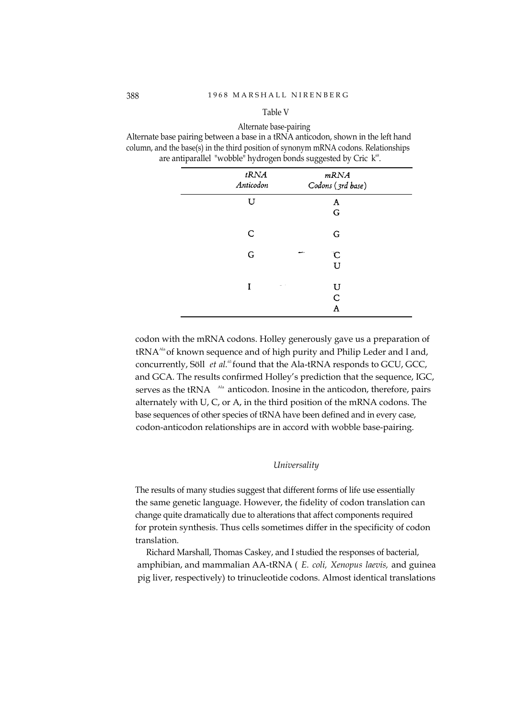#### Table V

Alternate base-pairing Alternate base pairing between a base in a tRNA anticodon, shown in the left hand column, and the base(s) in the third position of synonym mRNA codons. Relationships are antiparallel "wobble" hydrogen bonds suggested by Cric  $k^{\text{\tiny (8)}}$ .

| tRNA<br>Anticodon | mRNA<br>Codons (3rd base)     |
|-------------------|-------------------------------|
| U                 | A<br>G                        |
| C                 | G                             |
| G                 | $\mathbf C$<br>U              |
| I                 | U<br>. .<br>$\mathsf{C}$<br>A |

codon with the mRNA codons. Holley generously gave us a preparation of tRNA<sup>Ala</sup> of known sequence and of high purity and Philip Leder and I and, concurrently, Söll *et al.*<sup>65</sup> found that the Ala-tRNA responds to GCU, GCC, and GCA. The results confirmed Holley's prediction that the sequence, IGC, serves as the tRNA <sup>Ala</sup> anticodon. Inosine in the anticodon, therefore, pairs alternately with U, C, or A, in the third position of the mRNA codons. The base sequences of other species of tRNA have been defined and in every case, codon-anticodon relationships are in accord with wobble base-pairing.

#### *Universality*

The results of many studies suggest that different forms of life use essentially the same genetic language. However, the fidelity of codon translation can change quite dramatically due to alterations that affect components required for protein synthesis. Thus cells sometimes differ in the specificity of codon translation.

Richard Marshall, Thomas Caskey, and I studied the responses of bacterial, amphibian, and mammalian AA-tRNA ( *E. coli, Xenopus laevis,* and guinea pig liver, respectively) to trinucleotide codons. Almost identical translations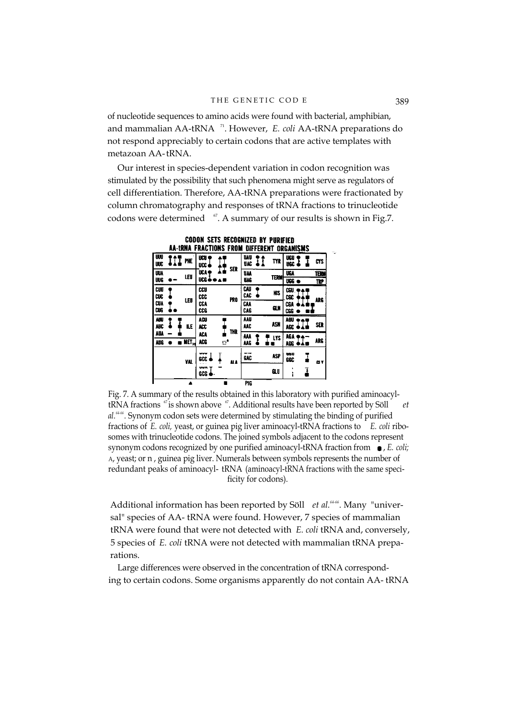of nucleotide sequences to amino acids were found with bacterial, amphibian, and mammalian AA-tRNA 71. However, *E. coli* AA-tRNA preparations do not respond appreciably to certain codons that are active templates with metazoan AA-tRNA.

Our interest in species-dependent variation in codon recognition was stimulated by the possibility that such phenomena might serve as regulators of cell differentiation. Therefore, AA-tRNA preparations were fractionated by column chromatography and responses of tRNA fractions to trinucleotide codons were determined  $\degree$ . A summary of our results is shown in Fig.7.

|                   |                                    | AA-tRNA FRACTIONS FROM |    |                 |                   | DIFFERENT |             |            | <b>ORGANISMS</b> |             |
|-------------------|------------------------------------|------------------------|----|-----------------|-------------------|-----------|-------------|------------|------------------|-------------|
| uu<br>UK          | PHE                                | UCU<br>UCC.            |    | SER             | <b>UAU</b><br>UAC |           | TYR         | UGU<br>nec |                  | CYS         |
| <b>UUA</b><br>UUG | LEU                                | <b>UCA</b><br>ucs d    |    |                 | <b>UAA</b><br>UAG |           | <b>TERM</b> | UGA<br>UGG |                  | TERM<br>TRP |
| CUU<br>CUC        | LEU                                | ccu<br>ccc             |    | PR <sub>0</sub> | CAU<br>CAC        |           | <b>NIS</b>  | œu<br>CSC  |                  | ARG         |
| CUA<br>CUG        |                                    | CCA<br>cce             |    |                 | CAA<br>CAG        |           | GИ          | CGA<br>CGG |                  |             |
| AUU<br>NUC        | Æ                                  | ACU<br>ACC.            |    | THR             | AAU<br>AAC        |           | ASN         | AGU<br>AGC |                  | SER         |
| AUA<br>AUG        | $\overline{\text{AET}}_{\text{M}}$ | ACA<br>ACG             | C. |                 | <b>AM</b><br>MG   |           | <b>LYS</b>  | AGA<br>AGG |                  | ARG         |
|                   | YAL                                | ww<br>scc              |    | ai A            | <b>SAC</b>        |           | <b>ASP</b>  | aso<br>GGC |                  | œ۷          |
|                   |                                    | www<br>GCG.            |    |                 |                   |           | <b>GLU</b>  | ٠<br>ã     | I                |             |
|                   |                                    |                        |    |                 | <b>PIG</b>        |           |             |            |                  |             |

**CODON SETS RECOGNIZED BY PURIFIED** 

Fig. 7. A summary of the results obtained in this laboratory with purified aminoacyltRNA fractions <sup>67</sup> is shown above <sup>67</sup>. Additional results have been reported by Söll *et al.64-66 .* Synonym codon sets were determined by stimulating the binding of purified fractions of *E. coli,* yeast, or guinea pig liver aminoacyl-tRNA fractions to *E. coli* ribosomes with trinucleotide codons. The joined symbols adjacent to the codons represent synonym codons recognized by one purified aminoacyl-tRNA fraction from  $\bullet$ , *E. coli;* A, yeast; or n , guinea pig liver. Numerals between symbols represents the number of redundant peaks of aminoacyl- tRNA (aminoacyl-tRNA fractions with the same specificity for codons).

Additional information has been reported by Söll *et al.<sup>6466</sup>*. Many "universal" species of AA- tRNA were found. However, 7 species of mammalian tRNA were found that were not detected with *E. coli* tRNA and, conversely, 5 species of *E. coli* tRNA were not detected with mammalian tRNA preparations.

Large differences were observed in the concentration of tRNA corresponding to certain codons. Some organisms apparently do not contain AA- tRNA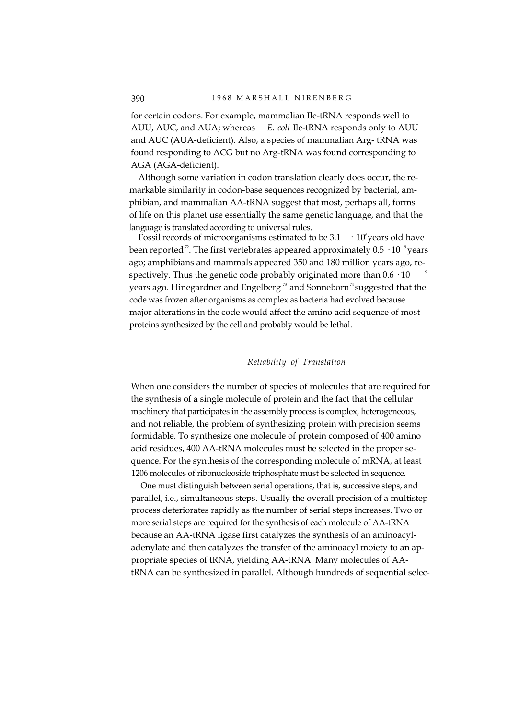for certain codons. For example, mammalian Ile-tRNA responds well to AUU, AUC, and AUA; whereas *E. coli* Ile-tRNA responds only to AUU and AUC (AUA-deficient). Also, a species of mammalian Arg- tRNA was found responding to ACG but no Arg-tRNA was found corresponding to AGA (AGA-deficient).

Although some variation in codon translation clearly does occur, the remarkable similarity in codon-base sequences recognized by bacterial, amphibian, and mammalian AA-tRNA suggest that most, perhaps all, forms of life on this planet use essentially the same genetic language, and that the language is translated according to universal rules.

Fossil records of microorganisms estimated to be  $3.1 \cdot 10^9$  years old have been reported  $^{\text{?}}.$  The first vertebrates appeared approximately 0.5  $\cdot$  10  $\degree$ years ago; amphibians and mammals appeared 350 and 180 million years ago, respectively. Thus the genetic code probably originated more than  $0.6 \cdot 10$ years ago. Hinegardner and Engelberg<sup>33</sup> and Sonneborn<sup>74</sup> suggested that the code was frozen after organisms as complex as bacteria had evolved because major alterations in the code would affect the amino acid sequence of most proteins synthesized by the cell and probably would be lethal.

# *Reliability of Translation*

When one considers the number of species of molecules that are required for the synthesis of a single molecule of protein and the fact that the cellular machinery that participates in the assembly process is complex, heterogeneous, and not reliable, the problem of synthesizing protein with precision seems formidable. To synthesize one molecule of protein composed of 400 amino acid residues, 400 AA-tRNA molecules must be selected in the proper sequence. For the synthesis of the corresponding molecule of mRNA, at least 1206 molecules of ribonucleoside triphosphate must be selected in sequence.

One must distinguish between serial operations, that is, successive steps, and parallel, i.e., simultaneous steps. Usually the overall precision of a multistep process deteriorates rapidly as the number of serial steps increases. Two or more serial steps are required for the synthesis of each molecule of AA-tRNA because an AA-tRNA ligase first catalyzes the synthesis of an aminoacyladenylate and then catalyzes the transfer of the aminoacyl moiety to an appropriate species of tRNA, yielding AA-tRNA. Many molecules of AAtRNA can be synthesized in parallel. Although hundreds of sequential selec-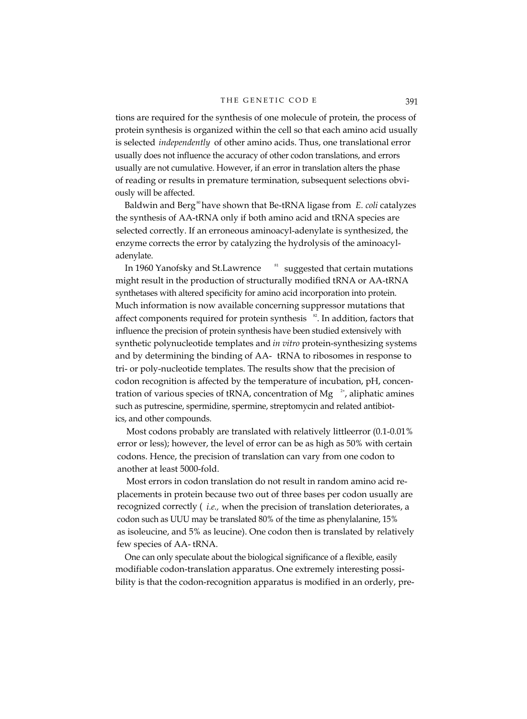tions are required for the synthesis of one molecule of protein, the process of protein synthesis is organized within the cell so that each amino acid usually is selected *independently* of other amino acids. Thus, one translational error usually does not influence the accuracy of other codon translations, and errors usually are not cumulative. However, if an error in translation alters the phase of reading or results in premature termination, subsequent selections obviously will be affected.

Baldwin and Berg<sup>®</sup> have shown that Be-tRNA ligase from *E. coli* catalyzes the synthesis of AA-tRNA only if both amino acid and tRNA species are selected correctly. If an erroneous aminoacyl-adenylate is synthesized, the enzyme corrects the error by catalyzing the hydrolysis of the aminoacyladenylate.

In 1960 Yanofsky and St. Lawrence  $\frac{81}{10}$  suggested that certain mutations might result in the production of structurally modified tRNA or AA-tRNA synthetases with altered specificity for amino acid incorporation into protein. Much information is now available concerning suppressor mutations that affect components required for protein synthesis  $\frac{82}{2}$ . In addition, factors that influence the precision of protein synthesis have been studied extensively with synthetic polynucleotide templates and *in vitro* protein-synthesizing systems and by determining the binding of AA- tRNA to ribosomes in response to tri- or poly-nucleotide templates. The results show that the precision of codon recognition is affected by the temperature of incubation, pH, concentration of various species of tRNA, concentration of Mg  $2+$ , aliphatic amines such as putrescine, spermidine, spermine, streptomycin and related antibiotics, and other compounds.

Most codons probably are translated with relatively littleerror (0.1-0.01% error or less); however, the level of error can be as high as 50% with certain codons. Hence, the precision of translation can vary from one codon to another at least 5000-fold.

Most errors in codon translation do not result in random amino acid replacements in protein because two out of three bases per codon usually are recognized correctly ( *i.e.,* when the precision of translation deteriorates, a codon such as UUU may be translated 80% of the time as phenylalanine, 15% as isoleucine, and 5% as leucine). One codon then is translated by relatively few species of AA- tRNA.

One can only speculate about the biological significance of a flexible, easily modifiable codon-translation apparatus. One extremely interesting possibility is that the codon-recognition apparatus is modified in an orderly, pre-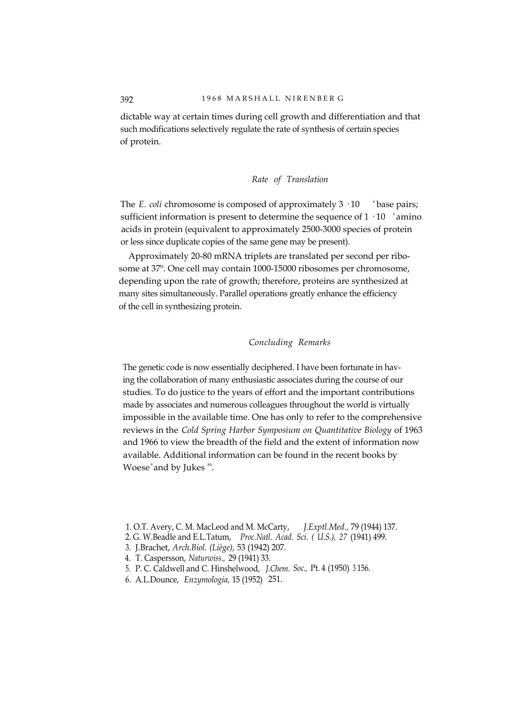dictable way at certain times during cell growth and differentiation and that such modifications selectively regulate the rate of synthesis of certain species of protein.

# *Rate of Translation*

The *E. coli* chromosome is composed of approximately  $3 \cdot 10$  <sup>6</sup> base pairs; sufficient information is present to determine the sequence of  $1 \cdot 10^{-6}$  amino acids in protein (equivalent to approximately 2500-3000 species of protein or less since duplicate copies of the same gene may be present).

Approximately 20-80 mRNA triplets are translated per second per ribosome at 37º. One cell may contain 1000-15000 ribosomes per chromosome, depending upon the rate of growth; therefore, proteins are synthesized at many sites simultaneously. Parallel operations greatly enhance the efficiency of the cell in synthesizing protein.

# *Concluding Remarks*

The genetic code is now essentially deciphered. I have been fortunate in having the collaboration of many enthusiastic associates during the course of our studies. To do justice to the years of effort and the important contributions made by associates and numerous colleagues throughout the world is virtually impossible in the available time. One has only to refer to the comprehensive reviews in the *Cold Spring Harbor Symposium on Quantitative Biology* of 1963 and 1966 to view the breadth of the field and the extent of information now available. Additional information can be found in the recent books by Woese $^\circ$ and by Jukes  $^{84}$ .

- 3. J.Brachet, *Arch.Biol. (Liège),* 53 (1942) 207.
- 4. T. Caspersson, *Naturwiss.,* 29 (1941) 33.
- 5. P. C. Caldwell and C. Hinshelwood, *J.Chem. Soc.,* Pt. 4 (1950) <sup>3</sup> 156.
- 6. A.L.Dounce, *Enzymologia,* 15 (1952) 251.

<sup>1.</sup> O.T. Avery, C. M. MacLeod and M. McCarty, *J.Exptl.Med.,* 79 (1944) 137.

<sup>2.</sup> G. W.Beadle and E.L.Tatum, *Proc.Natl. Acad. Sci. ( U.S.), 27* (1941) 499.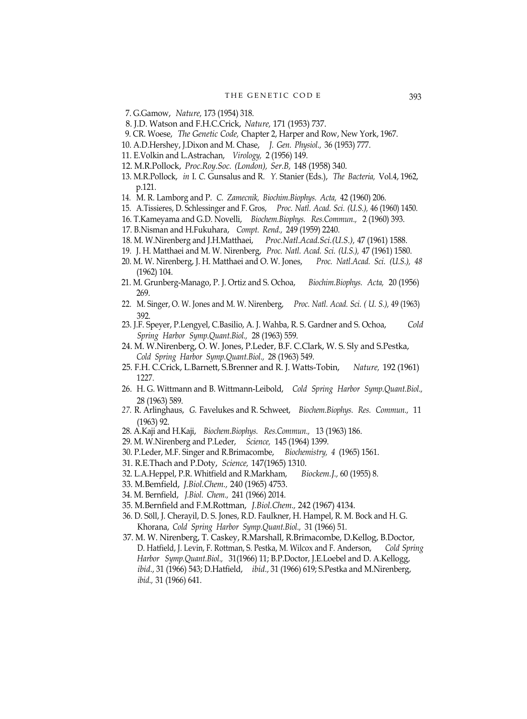- 7. G.Gamow, *Nature,* 173 (1954) 318.
- 8. J.D. Watson and F.H.C.Crick, *Nature,* 171 (1953) 737.
- 9. CR. Woese, *The Genetic Code,* Chapter 2, Harper and Row, New York, 1967.
- 10. A.D.Hershey, J.Dixon and M. Chase, *J. Gen. Physiol.,* 36 (1953) 777.
- 11. E.Volkin and L.Astrachan, *Virology,* 2 (1956) 149.
- 12. M.R.Pollock, *Proc.Roy.Soc. (London), Ser.B,* 148 (1958) 340.
- 13. M.R.Pollock, *in* I. *C.* Gunsalus and R. *Y.* Stanier (Eds.), *The Bacteria,* Vol.4, 1962, p.121.
- 14. M. R. Lamborg and P. *C. Zamecnik, Biochim.Biophys. Acta,* 42 (1960) 206.
- 15. A.Tissieres, D. Schlessinger and F. Gros, *Proc. Natl. Acad. Sci. (U.S.),* 46 (1960) 1450.
- 16. T.Kameyama and G.D. Novelli, *Biochem.Biophys. Res.Commun.,* 2 (1960) 393.
- 17. B.Nisman and H.Fukuhara, *Compt. Rend.,* 249 (1959) 2240.
- 18. M. W.Nirenberg and J.H.Matthaei, *Proc.Natl.Acad.Sci.(U.S.),* 47 (1961) 1588.
- 19. J. H. Matthaei and M. W. Nirenberg, *Proc. Natl. Acad. Sci. (U.S.),* 47 (1961) 1580.
- 20. M. W. Nirenberg, J. H. Matthaei and O. W. Jones, *Proc. Natl.Acad. Sci. (U.S.), 48* (1962) 104.
- 21. M. Grunberg-Manago, P. J. Ortiz and S. Ochoa, *Biochim.Biophys. Acta,* 20 (1956) 269.
- 22. M. Singer, O. W. Jones and M. W. Nirenberg, *Proc. Natl. Acad. Sci. ( U. S.),* 49 (1963) 392.
- 23. J.F. Speyer, P.Lengyel, C.Basilio, A. J. Wahba, R. S. Gardner and S. Ochoa, *Cold Spring Harbor Symp.Quant.Biol.,* 28 (1963) 559.
- 24. M. W.Nirenberg, O. W. Jones, P.Leder, B.F. C.Clark, W. S. Sly and S.Pestka, *Cold Spring Harbor Symp.Quant.Biol.,* 28 (1963) 549.
- 25. F.H. C.Crick, L.Barnett, S.Brenner and R. J. Watts-Tobin, *Nature,* 192 (1961) 1227.
- 26. H. G. Wittmann and B. Wittmann-Leibold, *Cold Spring Harbor Symp.Quant.Biol.,* 28 (1963) 589.
- *27.* R. Arlinghaus, *G.* Favelukes and R. Schweet, *Biochem.Biophys. Res. Commun.,* 11 (1963) 92.
- 28. A.Kaji and H.Kaji, *Biochem.Biophys. Res.Commun.,* 13 (1963) 186.
- 29. M. W.Nirenberg and P.Leder, *Science,* 145 (1964) 1399.
- 30. P.Leder, M.F. Singer and R.Brimacombe, *Biochemistry, 4* (1965) 1561.
- 31. R.E.Thach and P.Doty, *Science,* 147(1965) 1310.
- 32. L.A.Heppel, P.R. Whitfield and R.Markham, *Biockem.J.,* 60 (1955) 8.
- 33. M.Bemfield, *J.Biol.Chem.,* 240 (1965) 4753.
- 34. M. Bernfield, *J.Biol. Chem.,* 241 (1966) 2014.
- 35. M.Bernfield and F.M.Rottman, *J.Biol.Chem.,* 242 (1967) 4134.
- 36. D. Söll, J. Cherayil, D. S. Jones, R.D. Faulkner, H. Hampel, R. M. Bock and H. G. Khorana, *Cold Spring Harbor Symp.Quant.Biol.,* 31 (1966) 51.
- 37. M. W. Nirenberg, T. Caskey, R.Marshall, R.Brimacombe, D.Kellog, B.Doctor, D. Hatfield, J. Levin, F. Rottman, S. Pestka, M. Wilcox and F. Anderson, *Cold Spring Harbor Symp.Quant.Biol.,* 31(1966) 11; B.P.Doctor, J.E.Loebel and D. A.Kellogg, *ibid.,* 31 (1966) 543; D.Hatfield, *ibid.,* 31 (1966) 619; S.Pestka and M.Nirenberg, *ibid.,* 31 (1966) 641.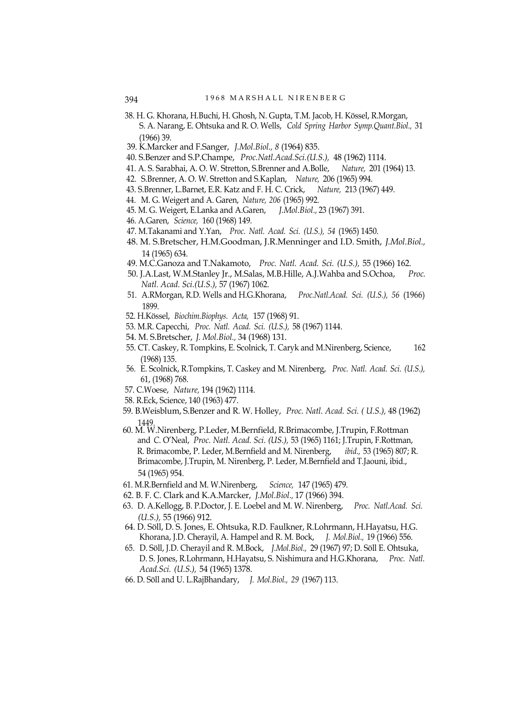- 38. H. G. Khorana, H.Buchi, H. Ghosh, N. Gupta, T.M. Jacob, H. Kössel, R.Morgan, S. A. Narang, E. Ohtsuka and R. O. Wells, *Cold Spring Harbor Symp.Quant.Biol.,* 31 (1966) 39.
- 39. K.Marcker and F.Sanger, *J.Mol.Biol., 8* (1964) 835.
- 40. S.Benzer and S.P.Champe, *Proc.Natl.Acad.Sci.(U.S.),* 48 (1962) 1114.
- 41. A. S. Sarabhai, A. O. W. Stretton, S.Brenner and A.Bolle, *Nature,* 201 (1964) 13.
- 42. S.Brenner, A. O. W. Stretton and S.Kaplan, *Nature,* 206 (1965) 994.
- 43. S.Brenner, L.Barnet, E.R. Katz and F. H. C. Crick, *Nature,* 213 (1967) 449.
- 44. M. G. Weigert and A. Garen, *Nature, 206* (1965) 992.
- 45. M. G. Weigert, E.Lanka and A.Garen, *J.Mol.Biol.,* 23 (1967) 391.
- 46. A.Garen, *Science,* 160 (1968) 149.
- 47. M.Takanami and Y.Yan, *Proc. Natl. Acad. Sci. (U.S.), 54* (1965) 1450.
- 48. M. S.Bretscher, H.M.Goodman, J.R.Menninger and I.D. Smith, *J.Mol.Biol.,* 14 (1965) 634.
- 49. M.C.Ganoza and T.Nakamoto, *Proc. Natl. Acad. Sci. (U.S.),* 55 (1966) 162.
- 50. J.A.Last, W.M.Stanley Jr., M.Salas, M.B.Hille, A.J.Wahba and S.Ochoa, *Proc. Natl. Acad. Sci.(U.S.),* 57 (1967) 1062.
- 51. A.RMorgan, R.D. Wells and H.G.Khorana, *Proc.Natl.Acad. Sci. (U.S.), 56* (1966) 1899.
- 52. H.Kössel, *Biochim.Biophys. Acta,* 157 (1968) 91.
- 53. M.R. Capecchi, *Proc. Natl. Acad. Sci. (U.S.),* 58 (1967) 1144.
- 54. M. S.Bretscher, *J. Mol.Biol.,* 34 (1968) 131.
- 55. CT. Caskey, R. Tompkins, E. Scolnick, T. Caryk and M.Nirenberg, Science, 162 (1968) 135.
- 56. E. Scolnick, R.Tompkins, T. Caskey and M. Nirenberg, *Proc. Natl. Acad. Sci. (U.S.),* 61, (1968) 768.
- 57. C.Woese, *Nature,* 194 (1962) 1114.
- 58. R.Eck, Science, 140 (1963) 477.
- 59. B.Weisblum, S.Benzer and R. W. Holley, *Proc. Natl. Acad. Sci. ( U.S.),* 48 (1962) 1449.
- 60. M. W.Nirenberg, P.Leder, M.Bernfield, R.Brimacombe, J.Trupin, F.Rottman and *C.* O'Neal, *Proc. Natl. Acad. Sci. (US.),* 53 (1965) 1161; J.Trupin, F.Rottman, R. Brimacombe, P. Leder, M.Bernfield and M. Nirenberg, *ibid.,* 53 (1965) 807; R. Brimacombe, J.Trupin, M. Nirenberg, P. Leder, M.Bernfield and T.Jaouni, ibid., 54 (1965) 954.
- 61. M.R.Bernfield and M. W.Nirenberg, *Science,* 147 (1965) 479.
- 62. B. F. C. Clark and K.A.Marcker, *J.Mol.Biol.,* 17 (1966) 394.
- 63. D. A.Kellogg, B. P.Doctor, J. E. Loebel and M. W. Nirenberg, *Proc. Natl.Acad. Sci. (U.S.),* 55 (1966) 912.
- 64. D. Söll, D. S. Jones, E. Ohtsuka, R.D. Faulkner, R.Lohrmann, H.Hayatsu, H.G. Khorana, J.D. Cherayil, A. Hampel and R. M. Bock, *J. Mol.Biol.,* 19 (1966) 556.
- 65. D. Söll, J.D. Cherayil and R. M.Bock, *J.Mol.Biol.,* 29 (1967) 97; D. Söll E. Ohtsuka, D. S. Jones, R.Lohrmann, H.Hayatsu, S. Nishimura and H.G.Khorana, *Proc. Natl. Acad.Sci. (U.S.),* 54 (1965) 1378.
- 66. D. Söll and U. L.RajBhandary, *J. Mol.Biol., 29* (1967) 113.